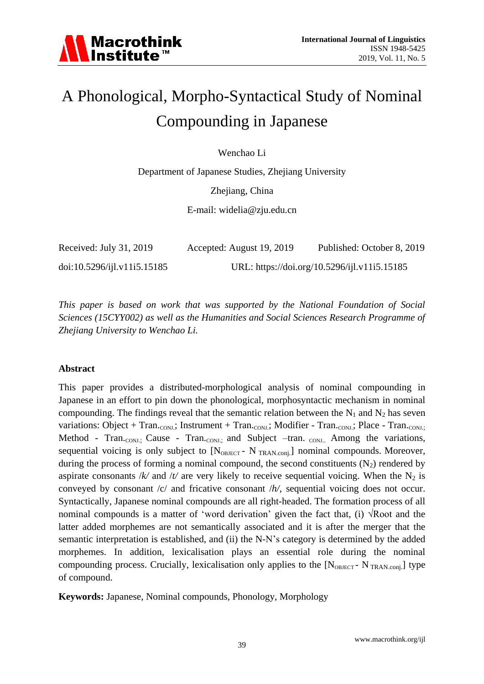# A Phonological, Morpho-Syntactical Study of Nominal Compounding in Japanese

Wenchao Li

Department of Japanese Studies, Zhejiang University

Zhejiang, China

E-mail: widelia@zju.edu.cn

| Received: July 31, 2019     | Accepted: August 19, 2019 | Published: October 8, 2019                   |
|-----------------------------|---------------------------|----------------------------------------------|
| doi:10.5296/ijl.v11i5.15185 |                           | URL: https://doi.org/10.5296/ijl.v11i5.15185 |

*This paper is based on work that was supported by the National Foundation of Social Sciences (15CYY002) as well as the Humanities and Social Sciences Research Programme of Zhejiang University to Wenchao Li.*

#### **Abstract**

This paper provides a distributed-morphological analysis of nominal compounding in Japanese in an effort to pin down the phonological, morphosyntactic mechanism in nominal compounding. The findings reveal that the semantic relation between the  $N_1$  and  $N_2$  has seven variations: Object + Tran.<sub>CONJ</sub>.; Instrument + Tran.<sub>CONJ</sub>.; Modifier - Tran.<sub>CONJ.</sub>; Place - Tran.<sub>CONJ.</sub>; Method - Tran.<sub>CONJ.;</sub> Cause - Tran.<sub>CONJ.;</sub> and Subject –tran. <sub>CONJ.</sub>. Among the variations, sequential voicing is only subject to  $[N<sub>OBJECT</sub> - N<sub>TRAN.comi</sub>]$  nominal compounds. Moreover, during the process of forming a nominal compound, the second constituents  $(N_2)$  rendered by aspirate consonants / $k$ / and / $t$ / are very likely to receive sequential voicing. When the N<sub>2</sub> is conveyed by consonant /c/ and fricative consonant /*h/*, sequential voicing does not occur. Syntactically, Japanese nominal compounds are all right-headed. The formation process of all nominal compounds is a matter of 'word derivation' given the fact that, (i)  $\sqrt{Root}$  and the latter added morphemes are not semantically associated and it is after the merger that the semantic interpretation is established, and (ii) the N-N's category is determined by the added morphemes. In addition, lexicalisation plays an essential role during the nominal compounding process. Crucially, lexicalisation only applies to the  $[N_{\text{ORECT}}]$ - N<sub>TRAN</sub> conj.] type of compound.

**Keywords:** Japanese, Nominal compounds, Phonology, Morphology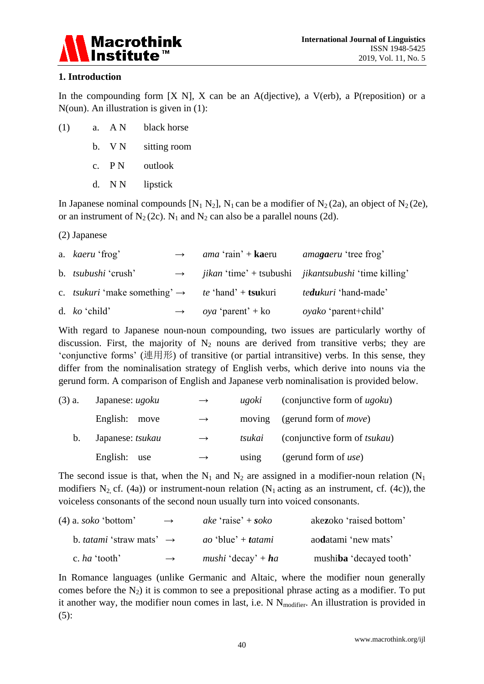

#### **1. Introduction**

In the compounding form  $[X \ N]$ ,  $X$  can be an A(djective), a V(erb), a P(reposition) or a N(oun). An illustration is given in (1):

| (1) | a. $AN$ | black horse  |
|-----|---------|--------------|
|     | b. VN   | sitting room |
|     | c. $PN$ | outlook      |
|     | d. NN   | lipstick     |

In Japanese nominal compounds  $[N_1 N_2]$ ,  $N_1$  can be a modifier of  $N_2$  (2a), an object of  $N_2$  (2e), or an instrument of  $N_2(2c)$ .  $N_1$  and  $N_2$  can also be a parallel nouns (2d).

(2) Japanese

| a. kaeru 'frog'                                                                     | $\rightarrow$ | <i>ama</i> 'rain' + <b>ka</b> eru | <i>amagaeru</i> 'tree frog'                                                      |
|-------------------------------------------------------------------------------------|---------------|-----------------------------------|----------------------------------------------------------------------------------|
| b. <i>tsubushi</i> 'crush'                                                          |               |                                   | $\rightarrow$ <i>jikan</i> 'time' + tsubushi <i>jikantsubushi</i> 'time killing' |
| c. <i>tsukuri</i> 'make something' $\rightarrow$ <i>te</i> 'hand' + <b>tsu</b> kuri |               |                                   | <i>tedukuri</i> 'hand-made'                                                      |
| d. $ko$ 'child'                                                                     | $\rightarrow$ | <i>oya</i> 'parent' + ko          | <i>oyako</i> 'parent+child'                                                      |

With regard to Japanese noun-noun compounding, two issues are particularly worthy of discussion. First, the majority of  $N_2$  nouns are derived from transitive verbs; they are 'conjunctive forms' (連用形) of transitive (or partial intransitive) verbs. In this sense, they differ from the nominalisation strategy of English verbs, which derive into nouns via the gerund form. A comparison of English and Japanese verb nominalisation is provided below.

| $(3)$ a. | Japanese: ugoku  | $\rightarrow$ | ugoki  | (conjunctive form of $ugoku$ )       |
|----------|------------------|---------------|--------|--------------------------------------|
|          | English: move    | $\rightarrow$ | moving | (gerund form of <i>move</i> )        |
| $b_{1}$  | Japanese: tsukau | $\rightarrow$ | tsukai | (conjunctive form of <i>tsukau</i> ) |
|          | English: use     | $\rightarrow$ | using  | (gerund form of $use$ )              |

The second issue is that, when the  $N_1$  and  $N_2$  are assigned in a modifier-noun relation ( $N_1$ ) modifiers N<sub>2</sub>, cf. (4a)) or instrument-noun relation (N<sub>1</sub> acting as an instrument, cf. (4c)), the voiceless consonants of the second noun usually turn into voiced consonants.

| $(4)$ a. <i>soko</i> 'bottom'               | $\rightarrow$ | ake 'raise' + soko               | akezoko 'raised bottom' |
|---------------------------------------------|---------------|----------------------------------|-------------------------|
| b. <i>tatami</i> 'straw mats' $\rightarrow$ |               | <i>ao</i> 'blue' + <i>tatami</i> | aodatami 'new mats'     |
| c. ha 'tooth'                               | $\rightarrow$ | <i>mushi</i> 'decay' + $ha$      | mushiba 'decayed tooth' |

In Romance languages (unlike Germanic and Altaic, where the modifier noun generally comes before the  $N_2$ ) it is common to see a prepositional phrase acting as a modifier. To put it another way, the modifier noun comes in last, i.e.  $N N_{\text{modifier}}$ . An illustration is provided in (5):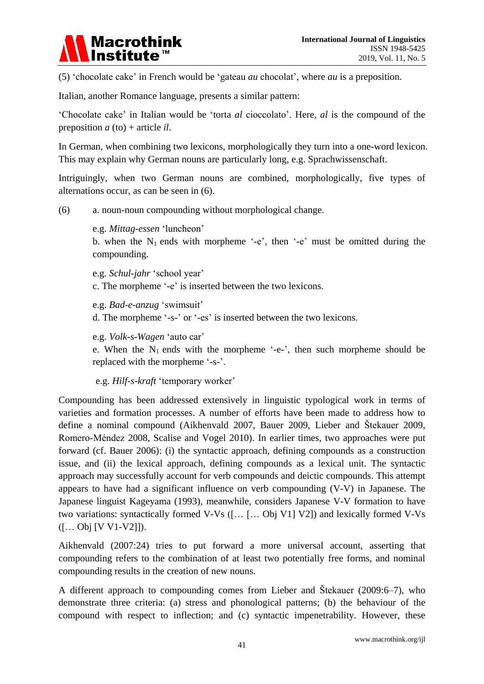

(5) 'chocolate cake' in French would be 'gateau *au* chocolat', where *au* is a preposition.

Italian, another Romance language, presents a similar pattern:

'Chocolate cake' in Italian would be 'torta *al* cioccolato'. Here, *al* is the compound of the preposition *a* (to) + article *il*.

In German, when combining two lexicons, morphologically they turn into a one-word lexicon. This may explain why German nouns are particularly long, e.g. Sprachwissenschaft.

Intriguingly, when two German nouns are combined, morphologically, five types of alternations occur, as can be seen in (6).

(6) a. noun-noun compounding without morphological change.

e.g. *Mittag-essen* 'luncheon'

b. when the  $N_1$  ends with morpheme '-e', then '-e' must be omitted during the compounding.

e.g. *Schul-jahr* 'school year' c. The morpheme '-e' is inserted between the two lexicons.

e.g. *Bad-e-anzug* 'swimsuit'

d. The morpheme '-s-' or '-es' is inserted between the two lexicons.

e.g. *Volk-s-Wagen* 'auto car'

e. When the  $N_1$  ends with the morpheme '-e-', then such morpheme should be replaced with the morpheme '-s-'.

e.g. *Hilf-s-kraft* 'temporary worker'

Compounding has been addressed extensively in linguistic typological work in terms of varieties and formation processes. A number of efforts have been made to address how to define a nominal compound (Aikhenvald 2007, Bauer 2009, Lieber and Štekauer 2009, Romero-Méndez 2008, Scalise and Vogel 2010). In earlier times, two approaches were put forward (cf. Bauer 2006): (i) the syntactic approach, defining compounds as a construction issue, and (ii) the lexical approach, defining compounds as a lexical unit. The syntactic approach may successfully account for verb compounds and deictic compounds. This attempt appears to have had a significant influence on verb compounding (V-V) in Japanese. The Japanese linguist Kageyama (1993), meanwhile, considers Japanese V-V formation to have two variations: syntactically formed V-Vs ([… [… Obj V1] V2]) and lexically formed V-Vs ([… Obj [V V1-V2]]).

Aikhenvald (2007:24) tries to put forward a more universal account, asserting that compounding refers to the combination of at least two potentially free forms, and nominal compounding results in the creation of new nouns.

A different approach to compounding comes from Lieber and Štekauer (2009:6–7), who demonstrate three criteria: (a) stress and phonological patterns; (b) the behaviour of the compound with respect to inflection; and (c) syntactic impenetrability. However, these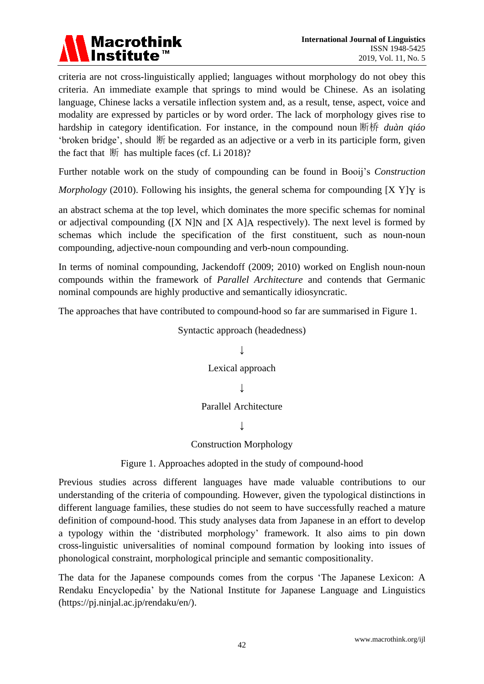

criteria are not cross-linguistically applied; languages without morphology do not obey this criteria. An immediate example that springs to mind would be Chinese. As an isolating language, Chinese lacks a versatile inflection system and, as a result, tense, aspect, voice and modality are expressed by particles or by word order. The lack of morphology gives rise to hardship in category identification. For instance, in the compound noun 断桥 *duàn qiáo* 'broken bridge', should 断 be regarded as an adjective or a verb in its participle form, given the fact that  $\mathbb{H}$  has multiple faces (cf. Li 2018)?

Further notable work on the study of compounding can be found in Booij's *Construction*

*Morphology* (2010). Following his insights, the general schema for compounding [X Y]Y is

an abstract schema at the top level, which dominates the more specific schemas for nominal or adjectival compounding  $([X \ N])$  and  $[X \ A]$ A respectively). The next level is formed by schemas which include the specification of the first constituent, such as noun-noun compounding, adjective-noun compounding and verb-noun compounding.

In terms of nominal compounding, Jackendoff (2009; 2010) worked on English noun-noun compounds within the framework of *Parallel Architecture* and contends that Germanic nominal compounds are highly productive and semantically idiosyncratic.

The approaches that have contributed to compound-hood so far are summarised in Figure 1.

Syntactic approach (headedness)

## ↓ Lexical approach  $\overline{\mathbf{r}}$ Parallel Architecture ↓

#### Construction Morphology

Figure 1. Approaches adopted in the study of compound-hood

Previous studies across different languages have made valuable contributions to our understanding of the criteria of compounding. However, given the typological distinctions in different language families, these studies do not seem to have successfully reached a mature definition of compound-hood. This study analyses data from Japanese in an effort to develop a typology within the 'distributed morphology' framework. It also aims to pin down cross-linguistic universalities of nominal compound formation by looking into issues of phonological constraint, morphological principle and semantic compositionality.

The data for the Japanese compounds comes from the corpus 'The Japanese Lexicon: A Rendaku Encyclopedia' by the National Institute for Japanese Language and Linguistics [\(https://pj.ninjal.ac.jp/rendaku/en/\)](https://pj.ninjal.ac.jp/rendaku/en/).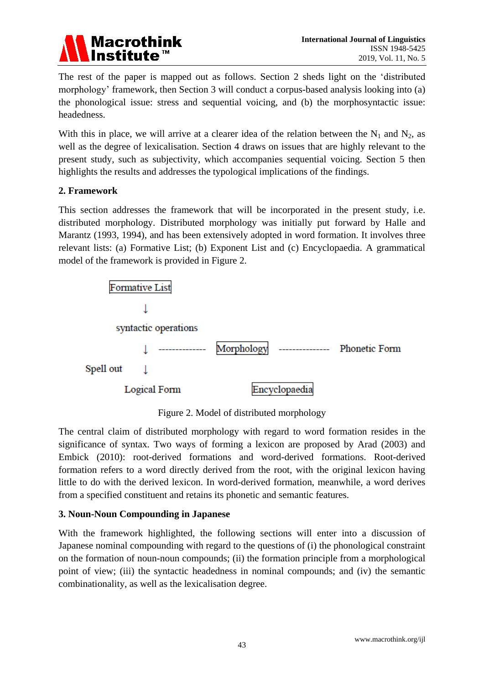

The rest of the paper is mapped out as follows. Section 2 sheds light on the 'distributed morphology' framework, then Section 3 will conduct a corpus-based analysis looking into (a) the phonological issue: stress and sequential voicing, and (b) the morphosyntactic issue: headedness.

With this in place, we will arrive at a clearer idea of the relation between the  $N_1$  and  $N_2$ , as well as the degree of lexicalisation. Section 4 draws on issues that are highly relevant to the present study, such as subjectivity, which accompanies sequential voicing. Section 5 then highlights the results and addresses the typological implications of the findings.

#### **2. Framework**

This section addresses the framework that will be incorporated in the present study, i.e. distributed morphology. Distributed morphology was initially put forward by Halle and Marantz (1993, 1994), and has been extensively adopted in word formation. It involves three relevant lists: (a) Formative List; (b) Exponent List and (c) Encyclopaedia. A grammatical model of the framework is provided in Figure 2.



Figure 2. Model of distributed morphology

The central claim of distributed morphology with regard to word formation resides in the significance of syntax. Two ways of forming a lexicon are proposed by Arad (2003) and Embick (2010): root-derived formations and word-derived formations. Root-derived formation refers to a word directly derived from the root, with the original lexicon having little to do with the derived lexicon. In word-derived formation, meanwhile, a word derives from a specified constituent and retains its phonetic and semantic features.

#### **3. Noun-Noun Compounding in Japanese**

With the framework highlighted, the following sections will enter into a discussion of Japanese nominal compounding with regard to the questions of (i) the phonological constraint on the formation of noun-noun compounds; (ii) the formation principle from a morphological point of view; (iii) the syntactic headedness in nominal compounds; and (iv) the semantic combinationality, as well as the lexicalisation degree.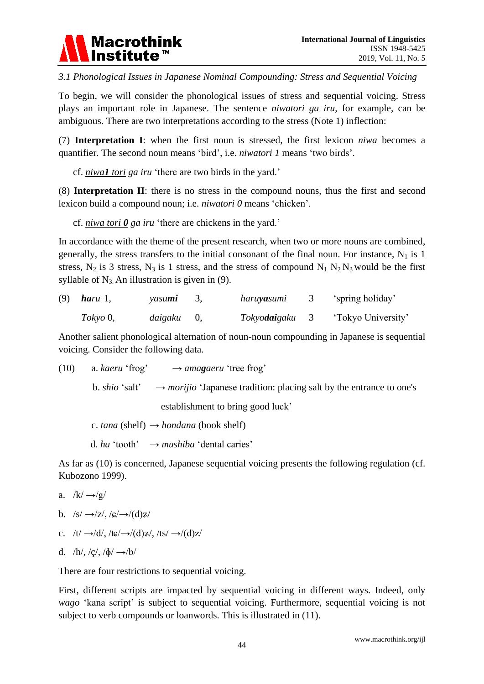

*3.1 Phonological Issues in Japanese Nominal Compounding: Stress and Sequential Voicing*

To begin, we will consider the phonological issues of stress and sequential voicing. Stress plays an important role in Japanese. The sentence *niwatori ga iru*, for example, can be ambiguous. There are two interpretations according to the stress (Note 1) inflection:

(7) **Interpretation I**: when the first noun is stressed, the first lexicon *niwa* becomes a quantifier. The second noun means 'bird', i.e. *niwatori 1* means 'two birds'.

cf. *niwa1 tori ga iru* 'there are two birds in the yard.'

(8) **Interpretation II**: there is no stress in the compound nouns, thus the first and second lexicon build a compound noun; i.e. *niwatori 0* means 'chicken'.

cf. *niwa tori 0 ga iru* 'there are chickens in the yard.'

In accordance with the theme of the present research, when two or more nouns are combined, generally, the stress transfers to the initial consonant of the final noun. For instance,  $N_1$  is 1 stress,  $N_2$  is 3 stress,  $N_3$  is 1 stress, and the stress of compound  $N_1 N_2 N_3$  would be the first syllable of  $N_3$ . An illustration is given in (9).

| (9) | haru 1,     | yasu <b>mi</b>    | haru <b>ya</b> sumi   | 'spring holiday'   |
|-----|-------------|-------------------|-----------------------|--------------------|
|     | $Tokvo\,0,$ | <i>daigaku</i> 0, | Tokyo <b>dai</b> gaku | 'Tokyo University' |

Another salient phonological alternation of noun-noun compounding in Japanese is sequential voicing. Consider the following data.

(10) a. *kaeru* 'frog'  $\rightarrow$  *amagaeru* 'tree frog' b. *shio* 'salt'  $\rightarrow$  *morijio* 'Japanese tradition: placing salt by the entrance to one's establishment to bring good luck'

c. *tana* (shelf)  $\rightarrow$  *hondana* (book shelf)

d. *ha* 'tooth'  $\rightarrow$  *mushiba* 'dental caries'

As far as (10) is concerned, Japanese sequential voicing presents the following regulation (cf. Kubozono 1999).

- a.  $/k/\rightarrow/2$
- b.  $/s' \rightarrow |z|$ ,  $/s' \rightarrow |d|z'$
- c.  $/t' \rightarrow/d',$   $/tc/ \rightarrow/(d)z/$ ,  $/ts/ \rightarrow/(d)z/$
- d.  $/h/$ ,  $/q$ ,  $/\phi/ \rightarrow /b/$

There are four restrictions to sequential voicing.

First, different scripts are impacted by sequential voicing in different ways. Indeed, only *wago* 'kana script' is subject to sequential voicing. Furthermore, sequential voicing is not subject to verb compounds or loanwords. This is illustrated in (11).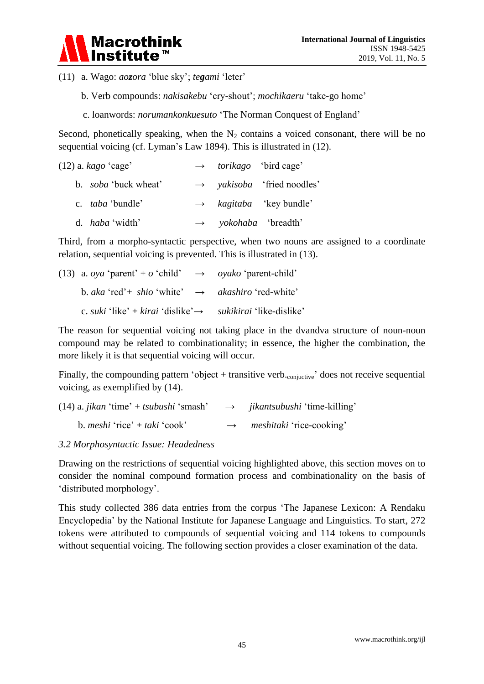

(11) a. Wago: *aozora* 'blue sky'; *tegami* 'leter'

- b. Verb compounds: *nakisakebu* 'cry-shout'; *mochikaeru* 'take-go home'
- c. loanwords: *norumankonkuesuto* 'The Norman Conquest of England'

Second, phonetically speaking, when the  $N_2$  contains a voiced consonant, there will be no sequential voicing (cf. Lyman's Law 1894). This is illustrated in (12).

| $(12)$ a. <i>kago</i> 'cage' |  | $\rightarrow$ <i>torikago</i> 'bird cage'     |
|------------------------------|--|-----------------------------------------------|
| b. <i>soba</i> 'buck wheat'  |  | $\rightarrow$ <i>yakisoba</i> 'fried noodles' |
| c. <i>taba</i> 'bundle'      |  | $\rightarrow$ kagitaba 'key bundle'           |
| d. <i>haba</i> 'width'       |  | $\rightarrow$ yokohaba 'breadth'              |

Third, from a morpho-syntactic perspective, when two nouns are assigned to a coordinate relation, sequential voicing is prevented. This is illustrated in (13).

| (13) a. <i>oya</i> 'parent' + <i>o</i> 'child' $\rightarrow$ <i>oyako</i> 'parent-child' |                                 |
|------------------------------------------------------------------------------------------|---------------------------------|
| b. aka 'red'+ shio 'white' $\rightarrow$ akashiro 'red-white'                            |                                 |
| c. <i>suki</i> 'like' + <i>kirai</i> 'dislike' $\rightarrow$                             | <i>sukikirai</i> 'like-dislike' |

The reason for sequential voicing not taking place in the dvandva structure of noun-noun compound may be related to combinationality; in essence, the higher the combination, the more likely it is that sequential voicing will occur.

Finally, the compounding pattern 'object + transitive verb. $_{\text{conivative}}$ ' does not receive sequential voicing, as exemplified by (14).

| $(14)$ a. <i>jikan</i> 'time' + <i>tsubushi</i> 'smash' |               | $\rightarrow$ <i>jikantsubushi</i> 'time-killing' |
|---------------------------------------------------------|---------------|---------------------------------------------------|
| b. <i>meshi</i> 'rice' + <i>taki</i> 'cook'             | $\rightarrow$ | <i>meshitaki</i> 'rice-cooking'                   |

#### *3.2 Morphosyntactic Issue: Headedness*

Drawing on the restrictions of sequential voicing highlighted above, this section moves on to consider the nominal compound formation process and combinationality on the basis of 'distributed morphology'.

This study collected 386 data entries from the corpus 'The Japanese Lexicon: A Rendaku Encyclopedia' by the National Institute for Japanese Language and Linguistics. To start, 272 tokens were attributed to compounds of sequential voicing and 114 tokens to compounds without sequential voicing. The following section provides a closer examination of the data.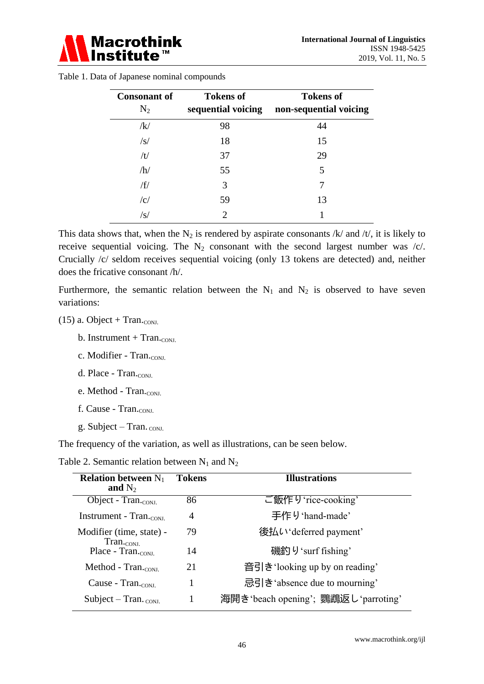

| <b>Consonant of</b><br>$N_2$ | <b>Tokens of</b><br>sequential voicing | <b>Tokens of</b><br>non-sequential voicing |
|------------------------------|----------------------------------------|--------------------------------------------|
| /k/                          | 98                                     | 44                                         |
| $\sqrt{s}$                   | 18                                     | 15                                         |
| /t/                          | 37                                     | 29                                         |
| /h/                          | 55                                     | 5                                          |
| /f/                          | 3                                      |                                            |
| c                            | 59                                     | 13                                         |
| /s/                          | 2                                      |                                            |

Table 1. Data of Japanese nominal compounds

This data shows that, when the  $N_2$  is rendered by aspirate consonants /k/ and /t/, it is likely to receive sequential voicing. The  $N_2$  consonant with the second largest number was /c/. Crucially /c/ seldom receives sequential voicing (only 13 tokens are detected) and, neither does the fricative consonant /h/.

Furthermore, the semantic relation between the  $N_1$  and  $N_2$  is observed to have seven variations:

- $(15)$  a. Object + Tran.<sub>conj.</sub>
	- b. Instrument + Tran. $_{\text{CONJ}}$
	- c. Modifier Tran. $_{\text{CONI}}$
	- d. Place  $Tran_{\text{conv}}$
	- e. Method Tran.<sub>CONJ.</sub>
	- f. Cause Tran.<sub>CONJ.</sub>
	- g. Subject Tran.  $_{\text{CONJ}}$ .

The frequency of the variation, as well as illustrations, can be seen below.

Table 2. Semantic relation between  $N_1$  and  $N_2$ 

| <b>Relation between</b> $N_1$<br>and $N_2$           | <b>Tokens</b> | <b>Illustrations</b>                  |
|------------------------------------------------------|---------------|---------------------------------------|
| Object - Tran.cons.                                  | 86            | ご飯作り 'rice-cooking'                   |
| Instrument - $Tran.$                                 | 4             | 手作り 'hand-made'                       |
| Modifier (time, state) -<br>$Tran.$ <sub>CONJ.</sub> | 79            | 後払い deferred payment                  |
| Place - $Tran.$ <sub>CONJ.</sub>                     | 14            | 磯釣り 'surf fishing'                    |
| Method - Tran. <sub>conj.</sub>                      | 21            | 音引き looking up by on reading'         |
| Cause - $Tran_{\rm conv}$                            | 1             | 忌引き absence due to mourning           |
| Subject – Tran. $_{\text{CONJ}}$                     |               | 海開き 'beach opening'; 鸚鵡返し 'parroting' |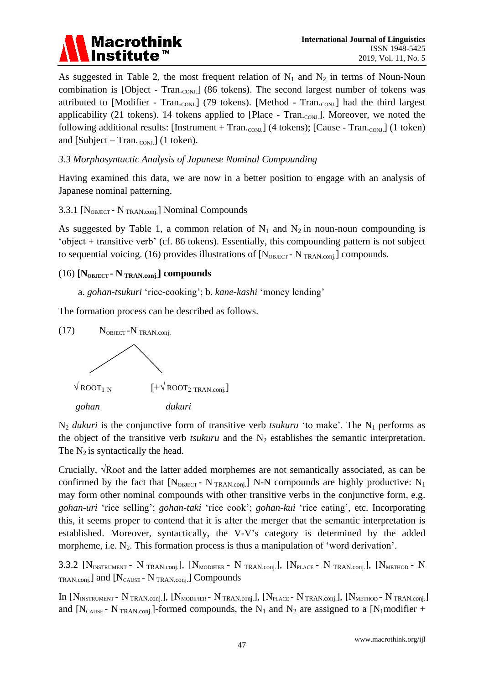

As suggested in Table 2, the most frequent relation of  $N_1$  and  $N_2$  in terms of Noun-Noun combination is [Object - Tran.con]. (86 tokens). The second largest number of tokens was attributed to [Modifier - Tran.conJ] (79 tokens). [Method - Tran.conJ] had the third largest applicability (21 tokens). 14 tokens applied to [Place - Tran.conJ.]. Moreover, we noted the following additional results: [Instrument + Tran.<sub>CONJ.</sub>] (4 tokens); [Cause - Tran.<sub>CONJ.</sub>] (1 token) and [Subject – Tran.  $_{\text{CONI}}$ ] (1 token).

#### *3.3 Morphosyntactic Analysis of Japanese Nominal Compounding*

Having examined this data, we are now in a better position to engage with an analysis of Japanese nominal patterning.

#### 3.3.1 [N<sub>OBJECT</sub> - N<sub>TRAN.conj.</sub>] Nominal Compounds

As suggested by Table 1, a common relation of  $N_1$  and  $N_2$  in noun-noun compounding is 'object + transitive verb' (cf. 86 tokens). Essentially, this compounding pattern is not subject to sequential voicing. (16) provides illustrations of  $[N<sub>OBJECT</sub> - N<sub>TRAN.comj</sub>]$  compounds.

#### (16) **[NOBJECT - N TRAN.conj.] compounds**

a. *gohan-tsukuri* 'rice-cooking'; b. *kane-kashi* 'money lending'

The formation process can be described as follows.



 $N_2$  *dukuri* is the conjunctive form of transitive verb *tsukuru* 'to make'. The  $N_1$  performs as the object of the transitive verb *tsukuru* and the  $N_2$  establishes the semantic interpretation. The  $N_2$  is syntactically the head.

Crucially, √Root and the latter added morphemes are not semantically associated, as can be confirmed by the fact that  $[N_{OBIECT} - N_{TRAN.com}]$  N-N compounds are highly productive: N<sub>1</sub> may form other nominal compounds with other transitive verbs in the conjunctive form, e.g. *gohan-uri* 'rice selling'; *gohan-taki* 'rice cook'; *gohan-kui* 'rice eating', etc. Incorporating this, it seems proper to contend that it is after the merger that the semantic interpretation is established. Moreover, syntactically, the V-V's category is determined by the added morpheme, i.e.  $N_2$ . This formation process is thus a manipulation of 'word derivation'.

3.3.2  $[N<sub>INSTRUMENT</sub> - N<sub>TRAN.comi</sub>]$ ,  $[N<sub>MDDFIER</sub> - N<sub>TRAN.comi</sub>]$ ,  $[N<sub>PLACE</sub> - N<sub>TRAN.comi</sub>]$ ,  $[N<sub>MFHOD</sub> - N<sub>MIN.comi</sub>]$  $TRAN.\text{conj.}$ ] and  $[N_\text{CAUSE} - N_\text{TRAN.\text{conj.}}]$  Compounds

In  $[N_{\text{INSTRUMENT}}-N_{\text{TRAN.config.}}]$ ,  $[N_{\text{MODIFIER}}-N_{\text{TRAN.config.}}]$ ,  $[N_{\text{PLACE}}-N_{\text{TRAN.config.}}]$ ,  $[N_{\text{MENT}}-N_{\text{TRAN.config.}}]$ and  $[N_{\text{CNSE}} - N_{\text{TRAN:coni}}]$ -formed compounds, the N<sub>1</sub> and N<sub>2</sub> are assigned to a [N<sub>1</sub>modifier +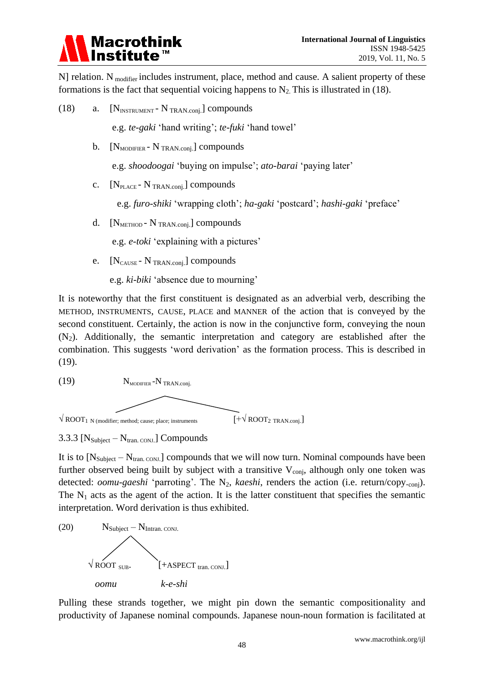

N] relation. N  $_{\text{modifier}}$  includes instrument, place, method and cause. A salient property of these formations is the fact that sequential voicing happens to  $N_2$ . This is illustrated in (18).

- (18) a.  $[N_{\text{INSTRUMENT}} N_{\text{TRAN.config}}]$  compounds e.g. *te-gaki* 'hand writing'; *te-fuki* 'hand towel' b.  $[N_{MODIFIER} - N_{TRAN.config}]$  compounds e.g. *shoodoogai* 'buying on impulse'; *ato-barai* 'paying later' c.  $[N_{\text{PLACE}} - N_{\text{TRAN.com}}]$  compounds e.g. *furo-shiki* 'wrapping cloth'; *ha-gaki* 'postcard'; *hashi-gaki* 'preface'
	- d.  $[N_{\text{METHOD}} N_{\text{TRAN.com}}]$  compounds

e.g. *e-toki* 'explaining with a pictures'

e. [N<sub>CAUSE</sub> - N<sub>TRAN.conj.</sub>] compounds

e.g. *ki-biki* 'absence due to mourning'

It is noteworthy that the first constituent is designated as an adverbial verb, describing the METHOD, INSTRUMENTS, CAUSE, PLACE and MANNER of the action that is conveyed by the second constituent. Certainly, the action is now in the conjunctive form, conveying the noun  $(N_2)$ . Additionally, the semantic interpretation and category are established after the combination. This suggests 'word derivation' as the formation process. This is described in (19).



3.3.3  $[N_{\text{Subject}} - N_{\text{tran. CONJ}}]$  Compounds

It is to  $[N_{\text{Subject}} - N_{\text{tran}}]$  compounds that we will now turn. Nominal compounds have been further observed being built by subject with a transitive  $V_{\text{conj}}$ , although only one token was detected: *oomu-gaeshi* 'parroting'. The N<sub>2</sub>, *kaeshi*, renders the action (i.e. return/copy.<sub>conj</sub>). The  $N_1$  acts as the agent of the action. It is the latter constituent that specifies the semantic interpretation. Word derivation is thus exhibited.



Pulling these strands together, we might pin down the semantic compositionality and productivity of Japanese nominal compounds. Japanese noun-noun formation is facilitated at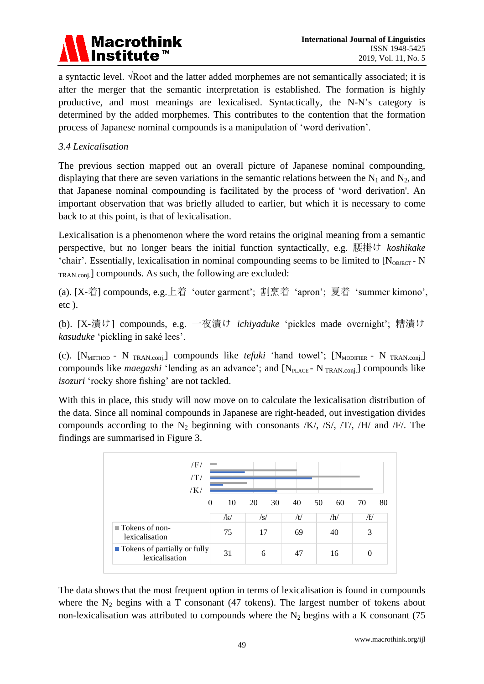

a syntactic level. √Root and the latter added morphemes are not semantically associated; it is after the merger that the semantic interpretation is established. The formation is highly productive, and most meanings are lexicalised. Syntactically, the N-N's category is determined by the added morphemes. This contributes to the contention that the formation process of Japanese nominal compounds is a manipulation of 'word derivation'.

#### *3.4 Lexicalisation*

The previous section mapped out an overall picture of Japanese nominal compounding, displaying that there are seven variations in the semantic relations between the  $N_1$  and  $N_2$ , and that Japanese nominal compounding is facilitated by the process of 'word derivation'. An important observation that was briefly alluded to earlier, but which it is necessary to come back to at this point, is that of lexicalisation.

Lexicalisation is a phenomenon where the word retains the original meaning from a semantic perspective, but no longer bears the initial function syntactically, e.g. 腰掛け *koshikake* 'chair'. Essentially, lexicalisation in nominal compounding seems to be limited to  $[N<sub>ORHECT</sub> - N]$ TRAN.conj.] compounds. As such, the following are excluded:

(a). [X-着] compounds, e.g.上着 'outer garment'; 割烹着 'apron'; 夏着 'summer kimono', etc ).

(b). [X-漬け] compounds, e.g. 一夜漬け *ichiyaduke* 'pickles made overnight'; 糟漬け *kasuduke* 'pickling in sakélees'.

(c).  $[N_{\text{METHOD}} - N_{\text{TRAN.comi}}]$  compounds like *tefuki* 'hand towel';  $[N_{\text{MODIFER}} - N_{\text{TRAN.comi}}]$ compounds like *maegashi* 'lending as an advance'; and  $[N_{\text{PLACE}} \cdot N_{\text{TRAN.com}}]$  compounds like *isozuri* 'rocky shore fishing' are not tackled.

With this in place, this study will now move on to calculate the lexicalisation distribution of the data. Since all nominal compounds in Japanese are right-headed, out investigation divides compounds according to the  $N_2$  beginning with consonants /K/, /S/, /T/, /H/ and /F/. The findings are summarised in Figure 3.



The data shows that the most frequent option in terms of lexicalisation is found in compounds where the  $N_2$  begins with a T consonant (47 tokens). The largest number of tokens about non-lexicalisation was attributed to compounds where the  $N_2$  begins with a K consonant (75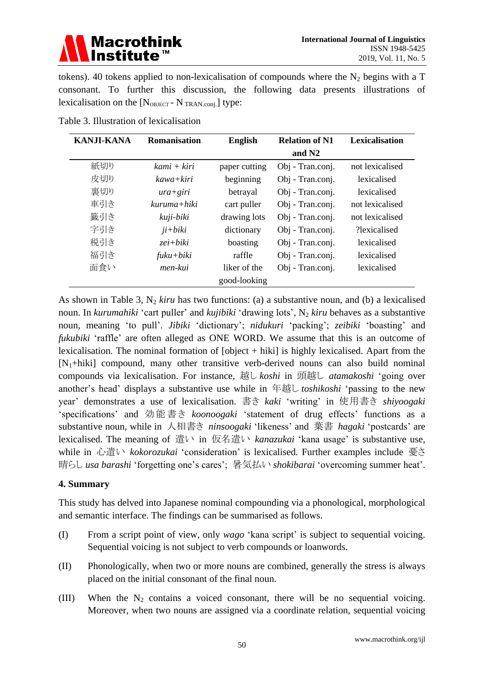### **Macrothink** Institute™

tokens). 40 tokens applied to non-lexicalisation of compounds where the  $N_2$  begins with a T consonant. To further this discussion, the following data presents illustrations of lexicalisation on the  $[N_{\text{OBJECT}} - N_{\text{TRAN.com}}]$  type:

| <b>KANJI-KANA</b> | Romanisation | <b>English</b> | <b>Relation of N1</b> | Lexicalisation  |
|-------------------|--------------|----------------|-----------------------|-----------------|
|                   |              |                | and $N2$              |                 |
| 紙切り               | kami + kiri  | paper cutting  | Obj - Tran.conj.      | not lexicalised |
| 皮切り               | kawa+kiri    | beginning      | Obj - Tran.conj.      | lexicalised     |
| 裏切り               | $ura + giri$ | betrayal       | Obj - Tran.conj.      | lexicalised     |
| 車引き               | kuruma+hiki  | cart puller    | Obj - Tran.conj.      | not lexicalised |
| 籤引き               | kuji-biki    | drawing lots   | Obj - Tran.conj.      | not lexicalised |
| 字引き               | $ji+biki$    | dictionary     | Obj - Tran.conj.      | ?lexicalised    |
| 税引き               | $zei+biki$   | boasting       | Obj - Tran.conj.      | lexicalised     |
| 福引き               | $fuku+biki$  | raffle         | Obj - Tran.conj.      | lexicalised     |
| 面食い               | men-kui      | liker of the   | Obj - Tran.conj.      | lexicalised     |
|                   |              | good-looking   |                       |                 |

Table 3. Illustration of lexicalisation

As shown in Table 3,  $N_2$  *kiru* has two functions: (a) a substantive noun, and (b) a lexicalised noun. In *kurumahiki* 'cart puller' and *kujibiki* 'drawing lots', N<sub>2</sub> *kiru* behaves as a substantive noun, meaning 'to pull'. *Jibiki* 'dictionary'; *nidukuri* 'packing'; *zeibiki* 'boasting' and *fukubiki* 'raffle' are often alleged as ONE WORD. We assume that this is an outcome of lexicalisation. The nominal formation of [object + hiki] is highly lexicalised. Apart from the  $[N_1+hik]$  compound, many other transitive verb-derived nouns can also build nominal compounds via lexicalisation. For instance, 越し *koshi* in 頭越し *atamakoshi* 'going over another's head' displays a substantive use while in 年越し *toshikoshi* 'passing to the new year' demonstrates a use of lexicalisation. 書き *kaki* 'writing' in 使用書き *shiyoogaki* 'specifications' and 効能書き *koonoogaki* 'statement of drug effects' functions as a substantive noun, while in 人相書き *ninsoogaki* 'likeness' and 葉書 *hagaki* 'postcards' are lexicalised. The meaning of 遣い in 仮名遣い *kanazukai* 'kana usage' is substantive use, while in 心遣い *kokorozukai* 'consideration' is lexicalised. Further examples include 憂さ 晴らし *usa barashi* 'forgetting one's cares'; 暑気払い *shokibarai* 'overcoming summer heat'.

#### **4. Summary**

This study has delved into Japanese nominal compounding via a phonological, morphological and semantic interface. The findings can be summarised as follows.

- (I) From a script point of view, only *wago* 'kana script' is subject to sequential voicing. Sequential voicing is not subject to verb compounds or loanwords.
- (II) Phonologically, when two or more nouns are combined, generally the stress is always placed on the initial consonant of the final noun.
- (III) When the  $N_2$  contains a voiced consonant, there will be no sequential voicing. Moreover, when two nouns are assigned via a coordinate relation, sequential voicing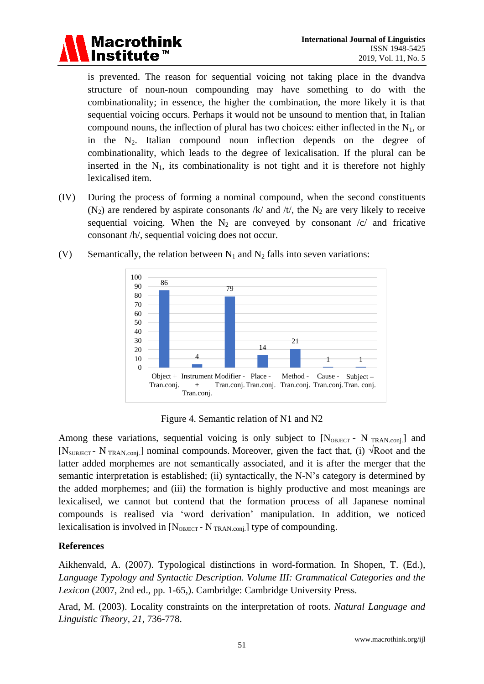

is prevented. The reason for sequential voicing not taking place in the dvandva structure of noun-noun compounding may have something to do with the combinationality; in essence, the higher the combination, the more likely it is that sequential voicing occurs. Perhaps it would not be unsound to mention that, in Italian compound nouns, the inflection of plural has two choices: either inflected in the  $N_1$ , or in the  $N_2$ . Italian compound noun inflection depends on the degree of combinationality, which leads to the degree of lexicalisation. If the plural can be inserted in the  $N_1$ , its combinationality is not tight and it is therefore not highly lexicalised item.

(IV) During the process of forming a nominal compound, when the second constituents  $(N_2)$  are rendered by aspirate consonants /k/ and /t/, the N<sub>2</sub> are very likely to receive sequential voicing. When the  $N_2$  are conveyed by consonant /c/ and fricative consonant /h/, sequential voicing does not occur.



(V) Semantically, the relation between  $N_1$  and  $N_2$  falls into seven variations:

Figure 4. Semantic relation of N1 and N2

Among these variations, sequential voicing is only subject to  $[N<sub>OBJECT</sub> - N<sub>TRAN.com</sub>]$  and [N<sub>SUBJECT</sub> - N<sub>TRAN.conj.</sub>] nominal compounds. Moreover, given the fact that, (i)  $\sqrt{\text{Root}}$  and the latter added morphemes are not semantically associated, and it is after the merger that the semantic interpretation is established; (ii) syntactically, the N-N's category is determined by the added morphemes; and (iii) the formation is highly productive and most meanings are lexicalised, we cannot but contend that the formation process of all Japanese nominal compounds is realised via 'word derivation' manipulation. In addition, we noticed lexicalisation is involved in  $[N<sub>OBJECT</sub> - N<sub>TRAN.com</sub>]$  type of compounding.

### **References**

Aikhenvald, A. (2007). Typological distinctions in word-formation. In Shopen, T. (Ed.), *Language Typology and Syntactic Description. Volume III: Grammatical Categories and the Lexicon* (2007, 2nd ed., pp. 1-65,). Cambridge: Cambridge University Press.

Arad, M. (2003). Locality constraints on the interpretation of roots. *Natural Language and Linguistic Theory, 21*, 736-778.